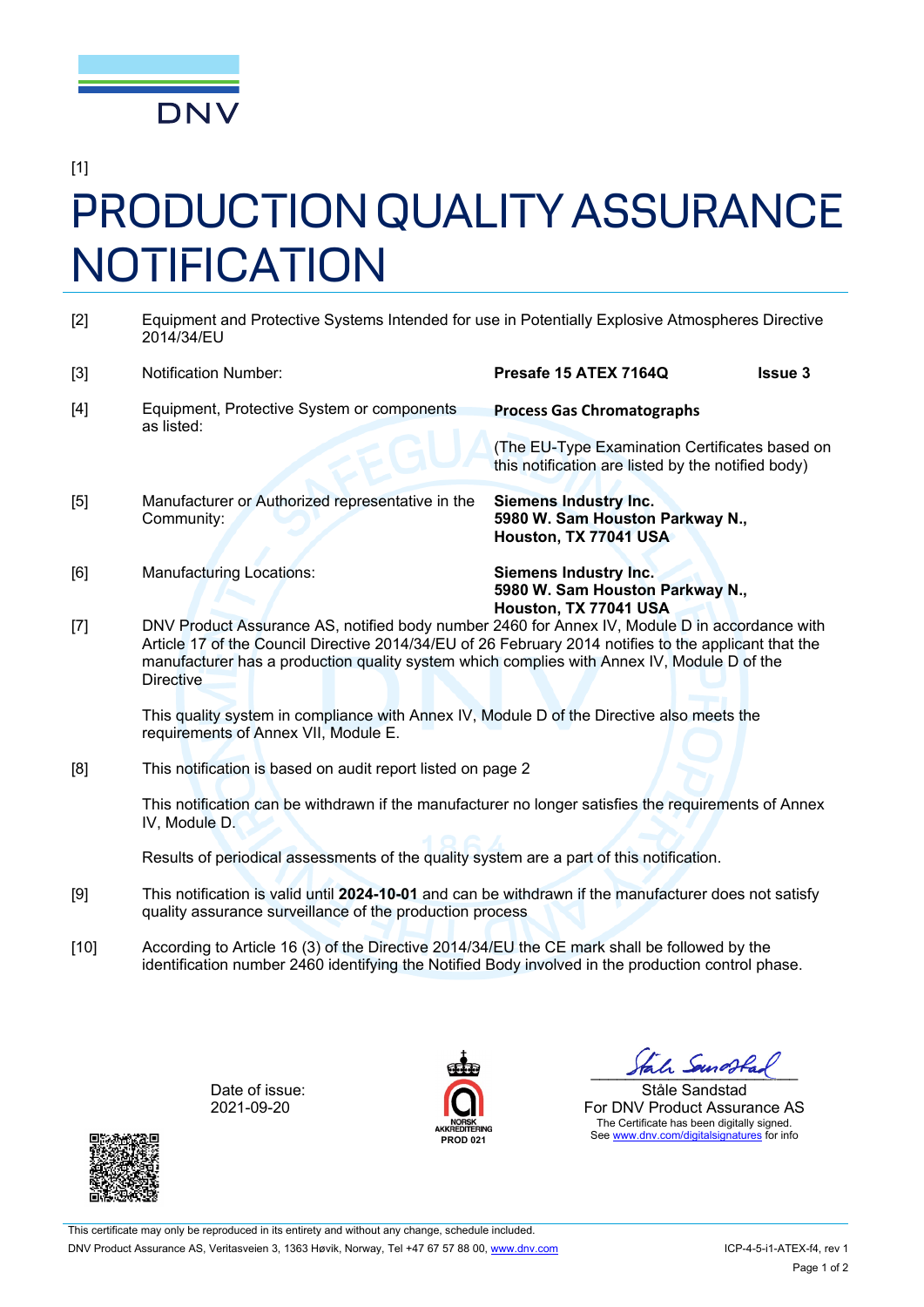

[1]

## PRODUCTION QUALITY ASSURANCE **NOTIFICATION**

| $[2]$  | Equipment and Protective Systems Intended for use in Potentially Explosive Atmospheres Directive<br>2014/34/EU                                                                                                                                                                                                                                    |                                                                                                      |                |  |
|--------|---------------------------------------------------------------------------------------------------------------------------------------------------------------------------------------------------------------------------------------------------------------------------------------------------------------------------------------------------|------------------------------------------------------------------------------------------------------|----------------|--|
| $[3]$  | <b>Notification Number:</b>                                                                                                                                                                                                                                                                                                                       | Presafe 15 ATEX 7164Q                                                                                | <b>Issue 3</b> |  |
| $[4]$  | Equipment, Protective System or components<br>as listed:                                                                                                                                                                                                                                                                                          | <b>Process Gas Chromatographs</b>                                                                    |                |  |
|        |                                                                                                                                                                                                                                                                                                                                                   | (The EU-Type Examination Certificates based on<br>this notification are listed by the notified body) |                |  |
| [5]    | Manufacturer or Authorized representative in the<br>Community:                                                                                                                                                                                                                                                                                    | <b>Siemens Industry Inc.</b><br>5980 W. Sam Houston Parkway N.,<br>Houston, TX 77041 USA             |                |  |
| [6]    | <b>Manufacturing Locations:</b>                                                                                                                                                                                                                                                                                                                   | <b>Siemens Industry Inc.</b><br>5980 W. Sam Houston Parkway N.,                                      |                |  |
| $[7]$  | Houston, TX 77041 USA<br>DNV Product Assurance AS, notified body number 2460 for Annex IV, Module D in accordance with<br>Article 17 of the Council Directive 2014/34/EU of 26 February 2014 notifies to the applicant that the<br>manufacturer has a production quality system which complies with Annex IV, Module D of the<br><b>Directive</b> |                                                                                                      |                |  |
|        | This quality system in compliance with Annex IV, Module D of the Directive also meets the<br>requirements of Annex VII, Module E.                                                                                                                                                                                                                 |                                                                                                      |                |  |
| [8]    | This notification is based on audit report listed on page 2                                                                                                                                                                                                                                                                                       |                                                                                                      |                |  |
|        | This notification can be withdrawn if the manufacturer no longer satisfies the requirements of Annex<br>IV, Module D.                                                                                                                                                                                                                             |                                                                                                      |                |  |
|        | Results of periodical assessments of the quality system are a part of this notification.                                                                                                                                                                                                                                                          |                                                                                                      |                |  |
| [9]    | This notification is valid until 2024-10-01 and can be withdrawn if the manufacturer does not satisfy<br>quality assurance surveillance of the production process                                                                                                                                                                                 |                                                                                                      |                |  |
| $[10]$ | According to Article 16 (3) of the Directive 2014/34/EU the CE mark shall be followed by the<br>identification number 2460 identifying the Notified Body involved in the production control phase.                                                                                                                                                |                                                                                                      |                |  |

Date of issue: 2021-09-20



**PROD 021** 

Stale Samostad

Ståle Sandstad For DNV Product Assurance AS The Certificate has been digitally signed. See www.dnv.com/digitalsignatures for info